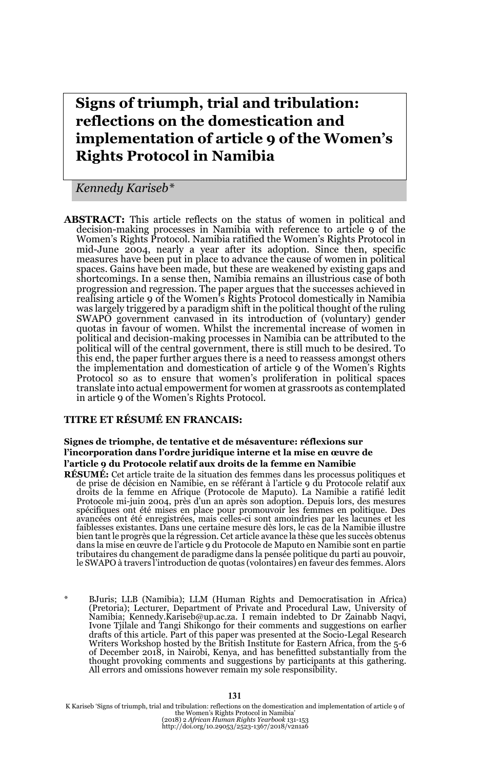# **Signs of triumph, trial and tribulation: reflections on the domestication and implementation of article 9 of the Women's Rights Protocol in Namibia**

*Kennedy Kariseb\**

**ABSTRACT:** This article reflects on the status of women in political and decision-making processes in Namibia with reference to article 9 of the Women's Rights Protocol. Namibia ratified the Women's Rights Protocol in mid-June 2004, nearly a year after its adoption. Since then, specific measures have been put in place to advance the cause of women in political spaces. Gains have been made, but these are weakened by existing gaps and shortcomings. In a sense then, Namibia remains an illustrious case of both progression and regression. The paper argues that the successes achieved in realising article 9 of the Women's Rights Protocol domestically in Namibia was largely triggered by a paradigm shift in the political thought of the ruling SWAPO government canvased in its introduction of (voluntary) gender quotas in favour of women. Whilst the incremental increase of women in political and decision-making processes in Namibia can be attributed to the political will of the central government, there is still much to be desired. To this end, the paper further argues there is a need to reassess amongst others the implementation and domestication of article 9 of the Women's Rights Protocol so as to ensure that women's proliferation in political spaces translate into actual empowerment for women at grassroots as contemplated in article 9 of the Women's Rights Protocol.

### **TITRE ET RÉSUMÉ EN FRANCAIS:**

#### **Signes de triomphe, de tentative et de mésaventure: réflexions sur l'incorporation dans l'ordre juridique interne et la mise en œuvre de l'article 9 du Protocole relatif aux droits de la femme en Namibie**

**RÉSUMÉ:** Cet article traite de la situation des femmes dans les processus politiques et de prise de décision en Namibie, en se référant à l'article 9 du Protocole relatif aux droits de la femme en Afrique (Protocole de Maputo). La Namibie a ratifié ledit Protocole mi-juin 2004, près d'un an après son adoption. Depuis lors, des mesures spécifiques ont été mises en place pour promouvoir les femmes en politique. Des avancées ont été enregistrées, mais celles-ci sont amoindries par les lacunes et les faiblesses existantes. Dans une certaine mesure dès lors, le cas de la Namibie illustre bien tant le progrès que la régression. Cet article avance la thèse que les succès obtenus dans la mise en œuvre de l'article 9 du Protocole de Maputo en Namibie sont en partie tributaires du changement de paradigme dans la pensée politique du parti au pouvoir, le SWAPO à travers l'introduction de quotas (volontaires) en faveur des femmes. Alors

BJuris; LLB (Namibia); LLM (Human Rights and Democratisation in Africa) (Pretoria); Lecturer, Department of Private and Procedural Law, University of Namibia; Kennedy.Kariseb@up.ac.za. I remain indebted to Dr Zainabb Naqvi, Ivone Tjilale and Tangi Shikongo for their comments and suggestions on earlier drafts of this article. Part of this paper was presented at the Socio-Legal Research Writers Workshop hosted by the British Institute for Eastern Africa, from the 5-6 of December 2018, in Nairobi, Kenya, and has benefitted substantially from the thought provoking comments and suggestions by participants at this gathering. All errors and omissions however remain my sole responsibility.

K Kariseb 'Signs of triumph, trial and tribulation: reflections on the domestication and implementation of article 9 of the Women's Rights Protocol in Namibia' (2018) 2 *African Human Rights Yearbook* 131-153 http://doi.org/10.29053/2523-1367/2018/v2n1a6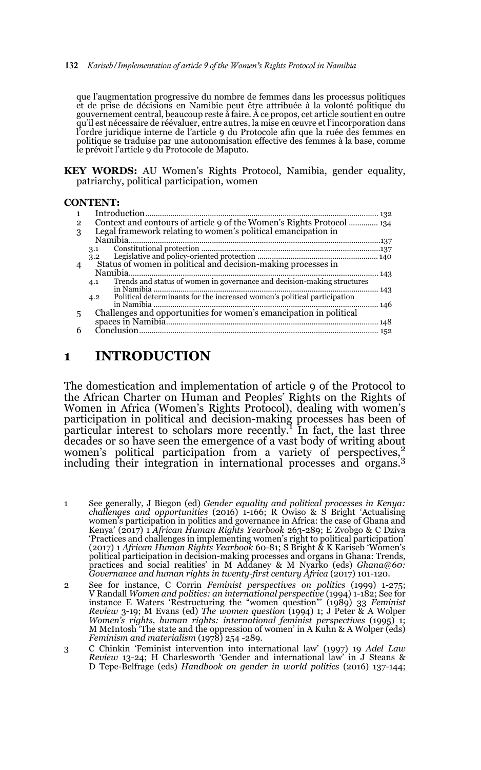#### 132 *Kariseb/Implementation of article 9 of the Women's Rights Protocol in Namibia*

que l'augmentation progressive du nombre de femmes dans les processus politiques et de prise de décisions en Namibie peut être attribuée à la volonté politique du gouvernement central, beaucoup reste à faire. À ce propos, cet article soutient en outre qu'il est nécessaire de réévaluer, entre autres, la mise en œuvre et l'incorporation dans l'ordre juridique interne de l'article 9 du Protocole afin que la ruée des femmes en politique se traduise par une autonomisation effective des femmes à la base, comme le prévoit l'article 9 du Protocole de Maputo.

**KEY WORDS:** AU Women's Rights Protocol, Namibia, gender equality, patriarchy, political participation, women

#### **CONTENT:**

| 1            |                                                                                 |     |
|--------------|---------------------------------------------------------------------------------|-----|
| $\mathbf{2}$ | Context and contours of article 9 of the Women's Rights Protocol  134           |     |
| 3            | Legal framework relating to women's political emancipation in                   |     |
|              |                                                                                 |     |
|              | 3.1                                                                             |     |
|              | 3.2                                                                             |     |
| 4            |                                                                                 |     |
|              |                                                                                 | 143 |
|              | Trends and status of women in governance and decision-making structures<br>4.1  |     |
|              |                                                                                 | 143 |
|              | Political determinants for the increased women's political participation<br>4.2 |     |
|              |                                                                                 |     |
| 5            |                                                                                 |     |
|              |                                                                                 |     |
| 6            |                                                                                 | 152 |
|              |                                                                                 |     |

### **1 INTRODUCTION**

The domestication and implementation of article 9 of the Protocol to the African Charter on Human and Peoples' Rights on the Rights of Women in Africa (Women's Rights Protocol), dealing with women's participation in political and decision-making processes has been of particular interest to scholars more recently.<sup>1</sup> In fact, the last three decades or so have seen the emergence of a vast body of writing about women's political participation from a variety of perspectives,<sup>2</sup> including their integration in international processes and organs.3

1 See generally, J Biegon (ed) *Gender equality and political processes in Kenya: challenges and opportunities* (2016) 1-166; R Owiso & S Bright 'Actualising women's participation in politics and governance in Africa: the case of Ghana and Kenya' (2017) 1 *African Human Rights Yearbook* 263-289; E Zvobgo & C Dziva 'Practices and challenges in implementing women's right to political participation' (2017) 1 *African Human Rights Yearbook* 60-81; S Bright & K Kariseb 'Women's political participation in decision-making processes and organs in Ghana: Trends, practices and social realities' in M Addaney & M Nyarko (eds) *Ghana@60: Governance and human rights in twenty-first century Africa* (2017) 101-120.

2 See for instance, C Corrin *Feminist perspectives on politics* (1999) 1-275; V Randall *Women and politics: an international perspective* (1994) 1-182; See for instance E Waters 'Restructuring the "women question"' (1989) 33 *Feminist Review* 3-19; M Evans (ed) *The women question* (1994) 1; J Peter & A Wolper *Women's rights, human rights: international feminist perspectives* (1995) 1; M McIntosh 'The state and the oppression of women' in A Kuhn & A Wolper (eds) *Feminism and materialism* (1978) 254 -289.

3 C Chinkin 'Feminist intervention into international law' (1997) 19 *Adel Law Review* 13-24; H Charlesworth 'Gender and international law' in J Steans & D Tepe-Belfrage (eds) *Handbook on gender in world politics* (2016) 137-144;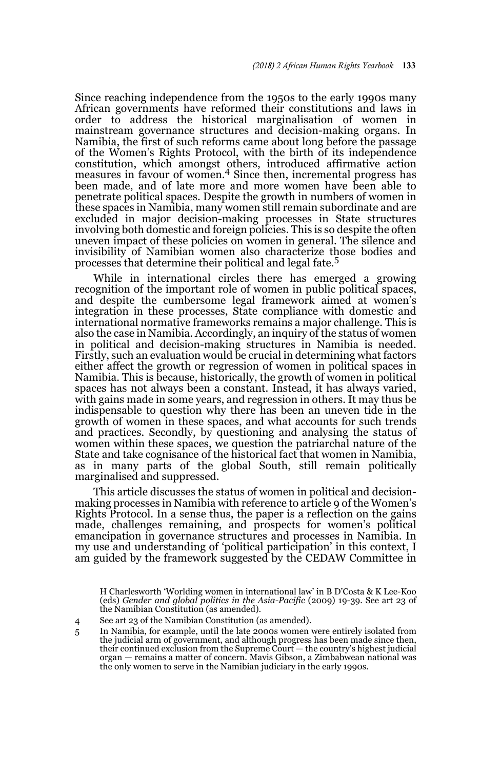Since reaching independence from the 1950s to the early 1990s many African governments have reformed their constitutions and laws in order to address the historical marginalisation of women in mainstream governance structures and decision-making organs. In Namibia, the first of such reforms came about long before the passage of the Women's Rights Protocol, with the birth of its independence constitution, which amongst others, introduced affirmative action measures in favour of women.4 Since then, incremental progress has been made, and of late more and more women have been able to penetrate political spaces. Despite the growth in numbers of women in these spaces in Namibia, many women still remain subordinate and are excluded in major decision-making processes in State structures involving both domestic and foreign policies. This is so despite the often uneven impact of these policies on women in general. The silence and invisibility of Namibian women also characterize those bodies and processes that determine their political and legal fate.<sup>5</sup>

While in international circles there has emerged a growing recognition of the important role of women in public political spaces, and despite the cumbersome legal framework aimed at women's integration in these processes, State compliance with domestic and international normative frameworks remains a major challenge. This is also the case in Namibia. Accordingly, an inquiry of the status of women in political and decision-making structures in Namibia is needed. Firstly, such an evaluation would be crucial in determining what factors either affect the growth or regression of women in political spaces in Namibia. This is because, historically, the growth of women in political spaces has not always been a constant. Instead, it has always varied, with gains made in some years, and regression in others. It may thus be indispensable to question why there has been an uneven tide in the growth of women in these spaces, and what accounts for such trends and practices. Secondly, by questioning and analysing the status of women within these spaces, we question the patriarchal nature of the State and take cognisance of the historical fact that women in Namibia, as in many parts of the global South, still remain politically marginalised and suppressed.

This article discusses the status of women in political and decisionmaking processes in Namibia with reference to article 9 of the Women's Rights Protocol. In a sense thus, the paper is a reflection on the gains made, challenges remaining, and prospects for women's political emancipation in governance structures and processes in Namibia. In my use and understanding of 'political participation' in this context, I am guided by the framework suggested by the CEDAW Committee in

3 H Charlesworth 'Worlding women in international law' in B D'Costa & K Lee-Koo (eds) *Gender and global politics in the Asia-Pacific* (2009) 19-39. See art 23 of the Namibian Constitution (as amended).

5 In Namibia, for example, until the late 2000s women were entirely isolated from the judicial arm of government, and although progress has been made since then, their continued exclusion from the Supreme Court — the country's highest judicial organ — remains a matter of concern. Mavis Gibson, a Zimbabwean national was the only women to serve in the Namibian judiciary in the early 1990s.

<sup>4</sup> See art 23 of the Namibian Constitution (as amended).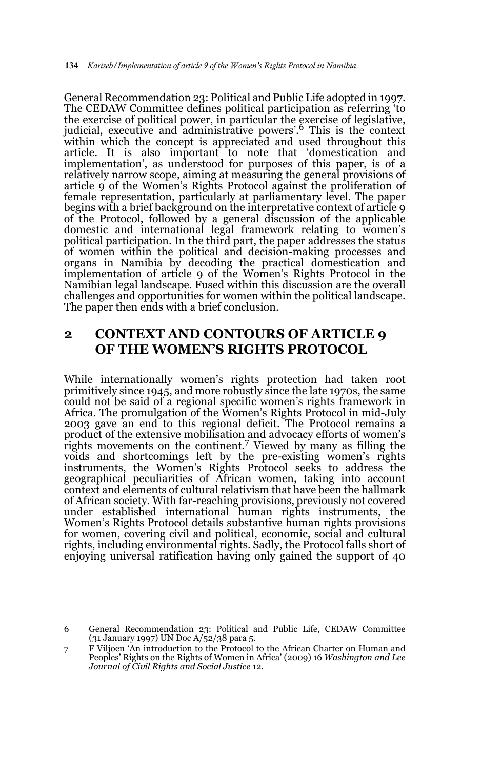General Recommendation 23: Political and Public Life adopted in 1997. The CEDAW Committee defines political participation as referring 'to the exercise of political power, in particular the exercise of legislative, judicial, executive and administrative powers'.6 This is the context within which the concept is appreciated and used throughout this article. It is also important to note that 'domestication and implementation', as understood for purposes of this paper, is of a relatively narrow scope, aiming at measuring the general provisions of article 9 of the Women's Rights Protocol against the proliferation of female representation, particularly at parliamentary level. The paper begins with a brief background on the interpretative context of article 9 of the Protocol, followed by a general discussion of the applicable domestic and international legal framework relating to women's political participation. In the third part, the paper addresses the status of women within the political and decision-making processes and organs in Namibia by decoding the practical domestication and implementation of article 9 of the Women's Rights Protocol in the Namibian legal landscape. Fused within this discussion are the overall challenges and opportunities for women within the political landscape. The paper then ends with a brief conclusion.

## **2 CONTEXT AND CONTOURS OF ARTICLE 9 OF THE WOMEN'S RIGHTS PROTOCOL**

While internationally women's rights protection had taken root primitively since 1945, and more robustly since the late 1970s, the same could not be said of a regional specific women's rights framework in Africa. The promulgation of the Women's Rights Protocol in mid-July 2003 gave an end to this regional deficit. The Protocol remains a product of the extensive mobilisation and advocacy efforts of women's rights movements on the continent.7 Viewed by many as filling the voids and shortcomings left by the pre-existing women's rights instruments, the Women's Rights Protocol seeks to address the geographical peculiarities of African women, taking into account context and elements of cultural relativism that have been the hallmark of African society. With far-reaching provisions, previously not covered under established international human rights instruments, the Women's Rights Protocol details substantive human rights provisions for women, covering civil and political, economic, social and cultural rights, including environmental rights. Sadly, the Protocol falls short of enjoying universal ratification having only gained the support of 40

<sup>6</sup> General Recommendation 23: Political and Public Life, CEDAW Committee (31 January 1997) UN Doc A/52/38 para 5.

<sup>7</sup> F Viljoen 'An introduction to the Protocol to the African Charter on Human and Peoples' Rights on the Rights of Women in Africa' (2009) 16 *Washington and Lee Journal of Civil Rights and Social Justice* 12.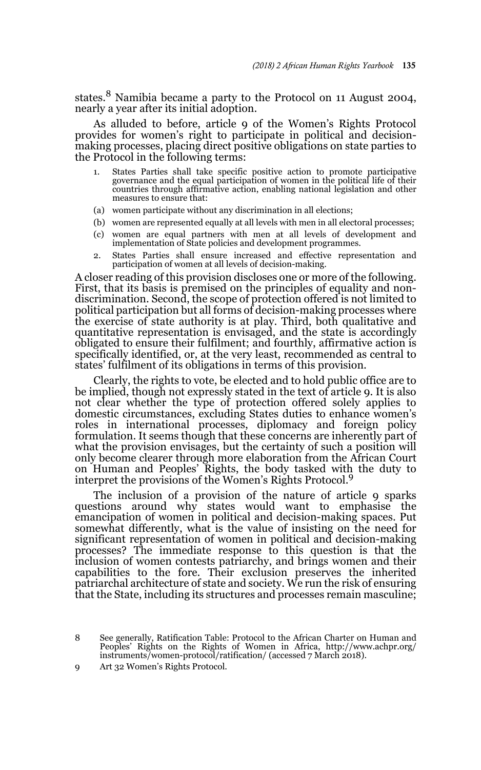states.8 Namibia became a party to the Protocol on 11 August 2004, nearly a year after its initial adoption.

As alluded to before, article 9 of the Women's Rights Protocol provides for women's right to participate in political and decisionmaking processes, placing direct positive obligations on state parties to the Protocol in the following terms:

- 1. States Parties shall take specific positive action to promote participative governance and the equal participation of women in the political life of their countries through affirmative action, enabling national legislation and other measures to ensure that:
- (a) women participate without any discrimination in all elections;
- (b) women are represented equally at all levels with men in all electoral processes;
- (c) women are equal partners with men at all levels of development and implementation of State policies and development programmes.
- 2. States Parties shall ensure increased and effective representation and participation of women at all levels of decision-making.

A closer reading of this provision discloses one or more of the following. First, that its basis is premised on the principles of equality and nondiscrimination. Second, the scope of protection offered is not limited to political participation but all forms of decision-making processes where the exercise of state authority is at play. Third, both qualitative and quantitative representation is envisaged, and the state is accordingly obligated to ensure their fulfilment; and fourthly, affirmative action is specifically identified, or, at the very least, recommended as central to states' fulfilment of its obligations in terms of this provision.

Clearly, the rights to vote, be elected and to hold public office are to be implied, though not expressly stated in the text of article 9. It is also not clear whether the type of protection offered solely applies to domestic circumstances, excluding States duties to enhance women's roles in international processes, diplomacy and foreign policy formulation. It seems though that these concerns are inherently part of what the provision envisages, but the certainty of such a position will only become clearer through more elaboration from the African Court on Human and Peoples' Rights, the body tasked with the duty to interpret the provisions of the Women's Rights Protocol.<sup>9</sup>

The inclusion of a provision of the nature of article 9 sparks questions around why states would want to emphasise the emancipation of women in political and decision-making spaces. Put somewhat differently, what is the value of insisting on the need for significant representation of women in political and decision-making processes? The immediate response to this question is that the inclusion of women contests patriarchy, and brings women and their capabilities to the fore. Their exclusion preserves the inherited patriarchal architecture of state and society. We run the risk of ensuring that the State, including its structures and processes remain masculine;

8 See generally, Ratification Table: Protocol to the African Charter on Human and Peoples' Rights on the Rights of Women in Africa, http://www.achpr.org/ instruments/women-protocol/ratification/ (accessed 7 March 2018).

9 Art 32 Women's Rights Protocol.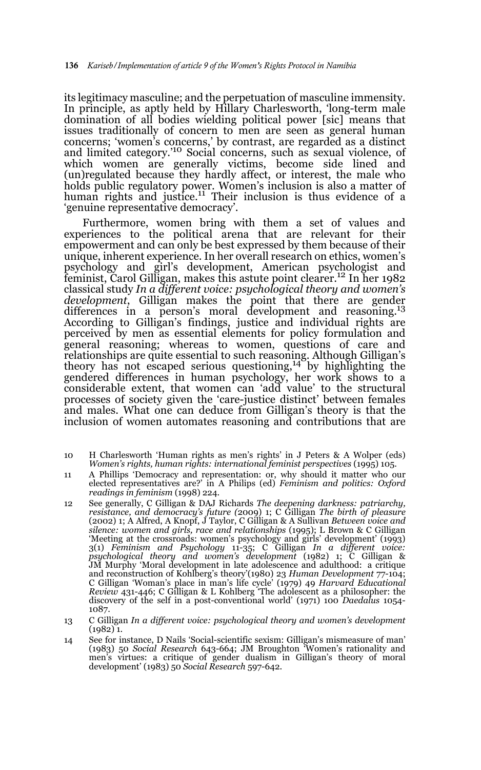its legitimacy masculine; and the perpetuation of masculine immensity. In principle, as aptly held by Hillary Charlesworth, 'long-term male domination of all bodies wielding political power [sic] means that issues traditionally of concern to men are seen as general human concerns; 'women's concerns,' by contrast, are regarded as a distinct and limited category.'10 Social concerns, such as sexual violence, of which women are generally victims, become side lined and (un)regulated because they hardly affect, or interest, the male who holds public regulatory power. Women's inclusion is also a matter of human rights and justice.<sup>11</sup> Their inclusion is thus evidence of a 'genuine representative democracy'.

Furthermore, women bring with them a set of values and experiences to the political arena that are relevant for their empowerment and can only be best expressed by them because of their unique, inherent experience. In her overall research on ethics, women's psychology and girl's development, American psychologist and feminist, Carol Gilligan, makes this astute point clearer.12 In her 1982 classical study *In a different voice: psychological theory and women's development*, Gilligan makes the point that there are gender differences in a person's moral development and reasoning.13 According to Gilligan's findings, justice and individual rights are perceived by men as essential elements for policy formulation and general reasoning; whereas to women, questions of care and relationships are quite essential to such reasoning. Although Gilligan's theory has not escaped serious questioning,14 by highlighting the gendered differences in human psychology, her work shows to a considerable extent, that women can 'add value' to the structural processes of society given the 'care-justice distinct' between females and males. What one can deduce from Gilligan's theory is that the inclusion of women automates reasoning and contributions that are

- 10 H Charlesworth 'Human rights as men's rights' in J Peters & A Wolper (eds) *Women's rights, human rights: international feminist perspectives* (1995) 105.
- 11 A Phillips 'Democracy and representation: or, why should it matter who our elected representatives are?' in A Philips (ed) *Feminism and politics: Oxford readings in feminism* (1998) 224.
- 12 See generally, C Gilligan & DAJ Richards *The deepening darkness: patriarchy, resistance, and democracy's future (*2009) 1; C Gilligan *The birth of pleasure* (2002) 1; A Alfred, A Knopf, J Taylor, C Gilligan & A Sullivan *Between voice and silence: women and girls, race and relationships* (1995); L Brown & C Gilligan 'Meeting at the crossroads: women's psychology and girls' development' (1993) 3(1) *Feminism and Psychology* 11-35; C Gilligan *In a different voice: psychological theory and women's development* (1982) 1; C Gilligan & JM Murphy 'Moral development in late adolescence and adulthood: a critique and reconstruction of Kohlberg's theory'(1980) 23 Human Development 77-104;<br>C Gilligan 'Woman's place in man's life cycle' (1979) 49 Harvard Educational<br>*Review 4*31-446; C Gilligan & L Kohlberg 'The adolescent as a philos discovery of the self in a post-conventional world' (1971) 100 *Daedalus* 1054- 1087.
- 13 C Gilligan *In a different voice: psychological theory and women's development* (1982) 1.
- 14 See for instance, D Nails 'Social-scientific sexism: Gilligan's mismeasure of man' (1983) 50 *Social Research* 643-664; JM Broughton 'Women's rationality and men's virtues: a critique of gender dualism in Gilligan's theory of moral development' (1983) 50 *Social Research* 597-642.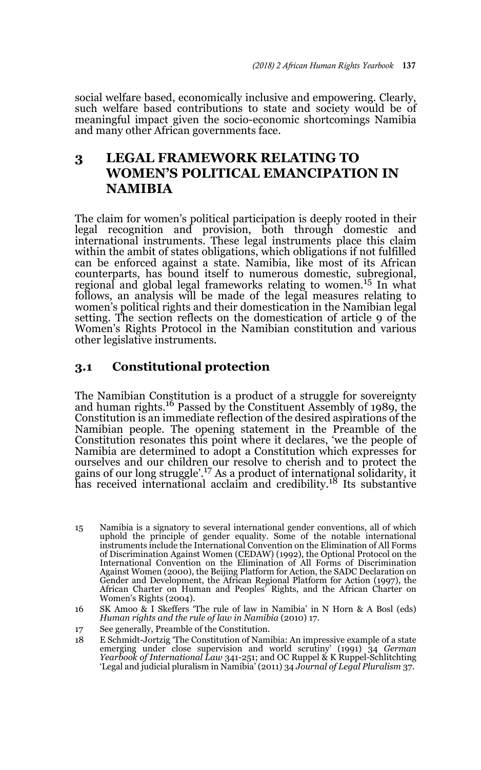social welfare based, economically inclusive and empowering. Clearly, such welfare based contributions to state and society would be of meaningful impact given the socio-economic shortcomings Namibia and many other African governments face.

# **3 LEGAL FRAMEWORK RELATING TO WOMEN'S POLITICAL EMANCIPATION IN NAMIBIA**

The claim for women's political participation is deeply rooted in their legal recognition and provision, both through domestic and international instruments. These legal instruments place this claim within the ambit of states obligations, which obligations if not fulfilled can be enforced against a state. Namibia, like most of its African counterparts, has bound itself to numerous domestic, subregional, regional and global legal frameworks relating to women.<sup>15</sup> In what follows, an analysis will be made of the legal measures relating to women's political rights and their domestication in the Namibian legal setting. The section reflects on the domestication of article 9 of the Women's Rights Protocol in the Namibian constitution and various other legislative instruments.

## **3.1 Constitutional protection**

The Namibian Constitution is a product of a struggle for sovereignty and human rights.16 Passed by the Constituent Assembly of 1989, the Constitution is an immediate reflection of the desired aspirations of the Namibian people. The opening statement in the Preamble of the Constitution resonates this point where it declares, 'we the people of Namibia are determined to adopt a Constitution which expresses for ourselves and our children our resolve to cherish and to protect the gains of our long struggle'.17 As a product of international solidarity, it has received international acclaim and credibility.18 Its substantive

<sup>15</sup> Namibia is a signatory to several international gender conventions, all of which uphold the principle of gender equality. Some of the notable international instruments include the International Convention on the Elimination of All Forms of Discrimination Against Women (CEDAW) (1992), the Optional Protocol on the International Convention on the Elimination of All Forms of Discrimination Against Women (2000), the Beijing Platform for Action, the SADC Declaration on Gender and Development, the African Regional Platform for Action (1997), the African Charter on Human and Peoples' Rights, and the African Charter on Women's Rights (2004).

<sup>16</sup> SK Amoo & I Skeffers 'The rule of law in Namibia' in N Horn & A Bosl (eds) *Human rights and the rule of law in Namibia* (2010) 17.

<sup>17</sup> See generally, Preamble of the Constitution.

<sup>18</sup> E Schmidt-Jortzig 'The Constitution of Namibia: An impressive example of a state emerging under close supervision and world scrutiny' (1991) 34 *German Yearbook of International Law* 341-251; and OC Ruppel & K Ruppel-Schlitchting 'Legal and judicial pluralism in Namibia' (2011) 34 *Journal of Legal Pluralism* 37.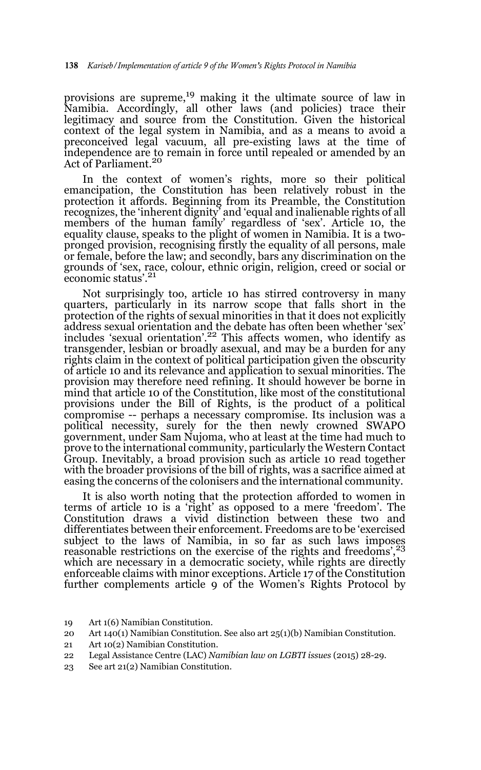provisions are supreme,<sup>19</sup> making it the ultimate source of law in Namibia. Accordingly, all other laws (and policies) trace their legitimacy and source from the Constitution. Given the historical context of the legal system in Namibia, and as a means to avoid a preconceived legal vacuum, all pre-existing laws at the time of independence are to remain in force until repealed or amended by an Act of Parliament.<sup>20</sup>

In the context of women's rights, more so their political emancipation, the Constitution has been relatively robust in the protection it affords. Beginning from its Preamble, the Constitution recognizes, the 'inherent dignity' and 'equal and inalienable rights of all members of the human family' regardless of 'sex'. Article 10, the equality clause, speaks to the plight of women in Namibia. It is a twopronged provision, recognising firstly the equality of all persons, male or female, before the law; and secondly, bars any discrimination on the grounds of 'sex, race, colour, ethnic origin, religion, creed or social or economic status'.21

Not surprisingly too, article 10 has stirred controversy in many quarters, particularly in its narrow scope that falls short in the protection of the rights of sexual minorities in that it does not explicitly address sexual orientation and the debate has often been whether 'sex' includes 'sexual orientation'.<sup>22</sup> This affects women, who identify as transgender, lesbian or broadly asexual, and may be a burden for any rights claim in the context of political participation given the obscurity of article 10 and its relevance and application to sexual minorities. The provision may therefore need refining. It should however be borne in mind that article 10 of the Constitution, like most of the constitutional provisions under the Bill of Rights, is the product of a political compromise -- perhaps a necessary compromise. Its inclusion was a political necessity, surely for the then newly crowned SWAPO government, under Sam Nujoma, who at least at the time had much to prove to the international community, particularly the Western Contact Group. Inevitably, a broad provision such as article 10 read together with the broader provisions of the bill of rights, was a sacrifice aimed at easing the concerns of the colonisers and the international community.

It is also worth noting that the protection afforded to women in terms of article 10 is a 'right' as opposed to a mere 'freedom'. The Constitution draws a vivid distinction between these two and differentiates between their enforcement. Freedoms are to be 'exercised subject to the laws of Namibia, in so far as such laws imposes reasonable restrictions on the exercise of the rights and freedoms',<sup>23</sup> which are necessary in a democratic society, while rights are directly enforceable claims with minor exceptions. Article 17 of the Constitution further complements article 9 of the Women's Rights Protocol by

- 20 Art 140(1) Namibian Constitution. See also art 25(1)(b) Namibian Constitution.
- 21 Art 10(2) Namibian Constitution.
- 22 Legal Assistance Centre (LAC) *Namibian law on LGBTI issues* (2015) 28-29.
- 23 See art 21(2) Namibian Constitution.

<sup>19</sup> Art 1(6) Namibian Constitution.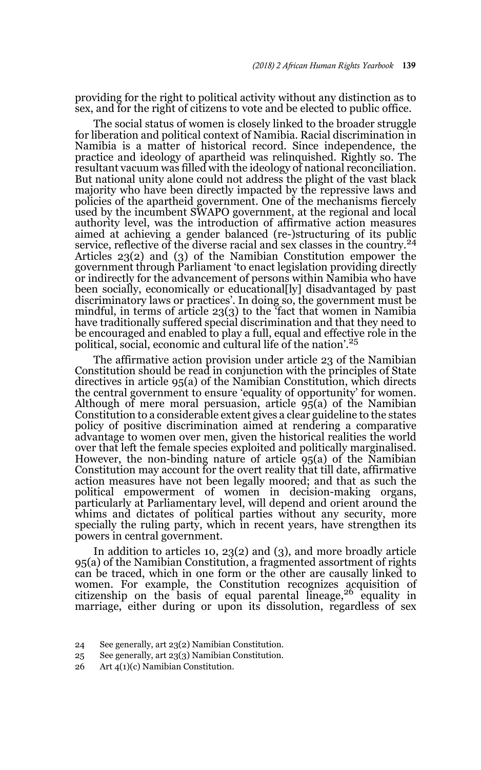providing for the right to political activity without any distinction as to sex, and for the right of citizens to vote and be elected to public office.

The social status of women is closely linked to the broader struggle for liberation and political context of Namibia. Racial discrimination in Namibia is a matter of historical record. Since independence, the practice and ideology of apartheid was relinquished. Rightly so. The resultant vacuum was filled with the ideology of national reconciliation. But national unity alone could not address the plight of the vast black majority who have been directly impacted by the repressive laws and policies of the apartheid government. One of the mechanisms fiercely used by the incumbent SWAPO government, at the regional and local authority level, was the introduction of affirmative action measures aimed at achieving a gender balanced (re-)structuring of its public service, reflective of the diverse racial and sex classes in the country.<sup>24</sup> Articles 23(2) and (3) of the Namibian Constitution empower the government through Parliament 'to enact legislation providing directly or indirectly for the advancement of persons within Namibia who have been socially, economically or educational[ly] disadvantaged by past discriminatory laws or practices'. In doing so, the government must be mindful, in terms of article 23(3) to the 'fact that women in Namibia have traditionally suffered special discrimination and that they need to be encouraged and enabled to play a full, equal and effective role in the political, social, economic and cultural life of the nation'.<sup>25</sup>

The affirmative action provision under article 23 of the Namibian Constitution should be read in conjunction with the principles of State directives in article 95(a) of the Namibian Constitution, which directs the central government to ensure 'equality of opportunity' for women. Although of mere moral persuasion, article  $\tilde{95}(a)$  of the Namibian Constitution to a considerable extent gives a clear guideline to the states policy of positive discrimination aimed at rendering a comparative advantage to women over men, given the historical realities the world over that left the female species exploited and politically marginalised. However, the non-binding nature of article 95(a) of the Namibian Constitution may account for the overt reality that till date, affirmative action measures have not been legally moored; and that as such the political empowerment of women in decision-making organs, particularly at Parliamentary level, will depend and orient around the whims and dictates of political parties without any security, more specially the ruling party, which in recent years, have strengthen its powers in central government.

In addition to articles 10, 23(2) and (3), and more broadly article 95(a) of the Namibian Constitution, a fragmented assortment of rights can be traced, which in one form or the other are causally linked to women. For example, the Constitution recognizes acquisition of citizenship on the basis of equal parental lineage,  $^{26}$  equality in marriage, either during or upon its dissolution, regardless of sex

<sup>24</sup> See generally, art 23(2) Namibian Constitution.

<sup>25</sup> See generally, art 23(3) Namibian Constitution.

<sup>26</sup> Art 4(1)(c) Namibian Constitution.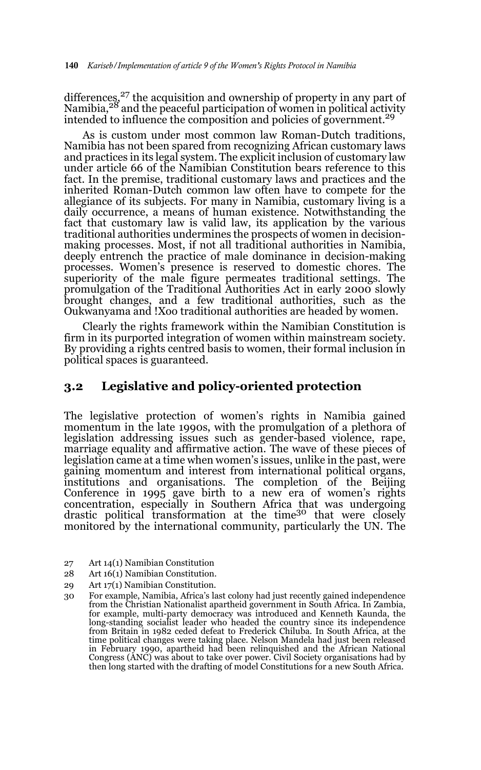differences,<sup>27</sup> the acquisition and ownership of property in any part of Namibia,<sup>28</sup> and the peaceful participation of women in political activity intended to influence the composition and policies of government.<sup>29</sup>

As is custom under most common law Roman-Dutch traditions, Namibia has not been spared from recognizing African customary laws and practices in its legal system. The explicit inclusion of customary law under article 66 of the Namibian Constitution bears reference to this fact. In the premise, traditional customary laws and practices and the inherited Roman-Dutch common law often have to compete for the allegiance of its subjects. For many in Namibia, customary living is a daily occurrence, a means of human existence. Notwithstanding the fact that customary law is valid law, its application by the various traditional authorities undermines the prospects of women in decisionmaking processes. Most, if not all traditional authorities in Namibia, deeply entrench the practice of male dominance in decision-making processes. Women's presence is reserved to domestic chores. The superiority of the male figure permeates traditional settings. The promulgation of the Traditional Authorities Act in early 2000 slowly brought changes, and a few traditional authorities, such as the Oukwanyama and !Xoo traditional authorities are headed by women.

Clearly the rights framework within the Namibian Constitution is firm in its purported integration of women within mainstream society. By providing a rights centred basis to women, their formal inclusion in political spaces is guaranteed.

### **3.2 Legislative and policy-oriented protection**

The legislative protection of women's rights in Namibia gained momentum in the late 1990s, with the promulgation of a plethora of legislation addressing issues such as gender-based violence, rape, marriage equality and affirmative action. The wave of these pieces of legislation came at a time when women's issues, unlike in the past, were gaining momentum and interest from international political organs, institutions and organisations. The completion of the Beijing Conference in 1995 gave birth to a new era of women's rights concentration, especially in Southern Africa that was undergoing drastic political transformation at the time<sup>30</sup> that were closely monitored by the international community, particularly the UN. The

- 27 Art 14(1) Namibian Constitution
- 28 Art 16(1) Namibian Constitution.
- 29 Art 17(1) Namibian Constitution.
- 30 For example, Namibia, Africa's last colony had just recently gained independence from the Christian Nationalist apartheid government in South Africa. In Zambia, for example, multi-party democracy was introduced and Kenneth Kaunda, the long-standing socialist leader who headed the country since its independence from Britain in 1982 ceded defeat to Frederick Chiluba. In South Africa, at the time political changes were taking place. Nelson Mandela had just been released in February 1990, apartheid had been relinquished and the African National Congress (ANC) was about to take over power. Civil Society organisations had by then long started with the drafting of model Constitutions for a new South Africa.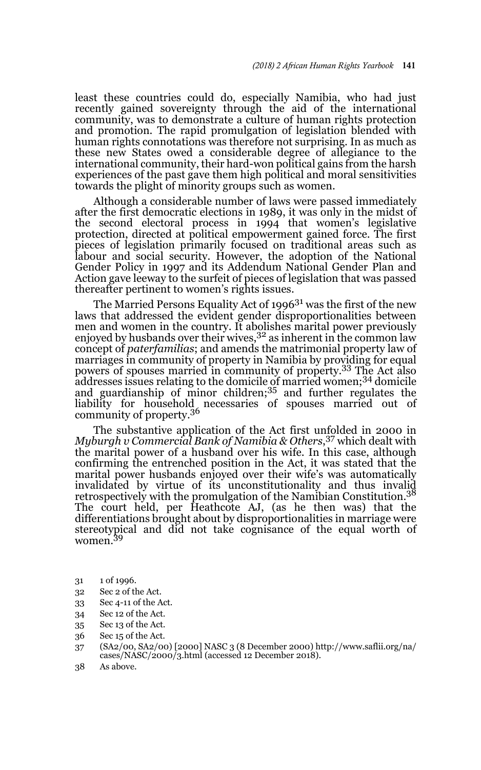least these countries could do, especially Namibia, who had just recently gained sovereignty through the aid of the international community, was to demonstrate a culture of human rights protection and promotion. The rapid promulgation of legislation blended with human rights connotations was therefore not surprising. In as much as these new States owed a considerable degree of allegiance to the international community, their hard-won political gains from the harsh experiences of the past gave them high political and moral sensitivities towards the plight of minority groups such as women.

Although a considerable number of laws were passed immediately after the first democratic elections in 1989, it was only in the midst of the second electoral process in 1994 that women's legislative protection, directed at political empowerment gained force. The first pieces of legislation primarily focused on traditional areas such as labour and social security. However, the adoption of the National Gender Policy in 1997 and its Addendum National Gender Plan and Action gave leeway to the surfeit of pieces of legislation that was passed thereafter pertinent to women's rights issues.

The Married Persons Equality Act of 1996<sup>31</sup> was the first of the new laws that addressed the evident gender disproportionalities between men and women in the country. It abolishes marital power previously enjoyed by husbands over their wives,  $3^2$  as inherent in the common law concept of *paterfamilias*; and amends the matrimonial property law of marriages in community of property in Namibia by providing for equal powers of spouses married in community of property.33 The Act also addresses issues relating to the domicile of married women;34 domicile and guardianship of minor children;<sup>35</sup> and further regulates the liability for household necessaries of spouses married out of community of property.<sup>36</sup>

The substantive application of the Act first unfolded in 2000 in *Myburgh v Commercial Bank of Namibia & Others*, 37 which dealt with the marital power of a husband over his wife. In this case, although confirming the entrenched position in the Act, it was stated that the marital power husbands enjoyed over their wife's was automatically invalidated by virtue of its unconstitutionality and thus invalid retrospectively with the promulgation of the Namibian Constitution.38 The court held, per Heathcote AJ, (as he then was) that the differentiations brought about by disproportionalities in marriage were stereotypical and did not take cognisance of the equal worth of women.<sup>39</sup>

- 31 1 of 1996.
- 32 Sec 2 of the Act.
- 33 Sec 4-11 of the Act.
- 34 Sec 12 of the Act.
- 35 Sec 13 of the Act.
- 36 Sec 15 of the Act.
- 37 (SA2/00, SA2/00) [2000] NASC 3 (8 December 2000) http://www.saflii.org/na/ cases/NASC/2000/3.html (accessed 12 December 2018).
- 38 As above.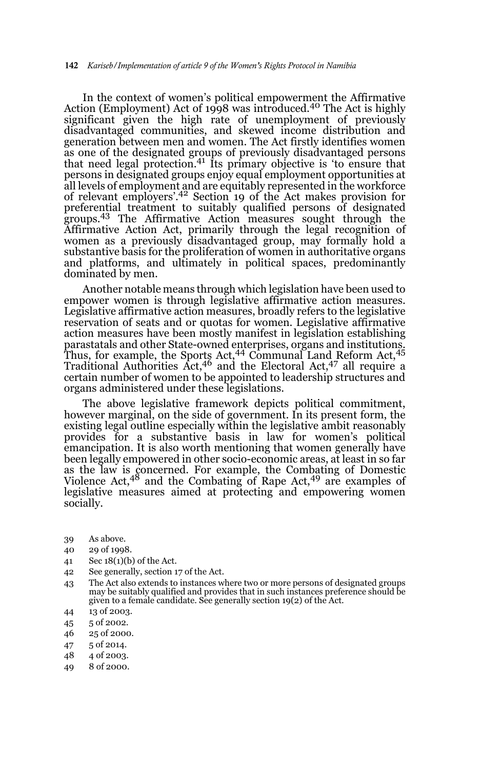In the context of women's political empowerment the Affirmative Action (Employment) Act of 1998 was introduced.<sup>40</sup> The Act is highly significant given the high rate of unemployment of previously disadvantaged communities, and skewed income distribution and generation between men and women. The Act firstly identifies women as one of the designated groups of previously disadvantaged persons that need legal protection.<sup>41</sup> Its primary objective is 'to ensure that persons in designated groups enjoy equal employment opportunities at all levels of employment and are equitably represented in the workforce of relevant employers'.42 Section 19 of the Act makes provision for preferential treatment to suitably qualified persons of designated groups.43 The Affirmative Action measures sought through the Affirmative Action Act, primarily through the legal recognition of women as a previously disadvantaged group, may formally hold a substantive basis for the proliferation of women in authoritative organs and platforms, and ultimately in political spaces, predominantly dominated by men.

Another notable means through which legislation have been used to empower women is through legislative affirmative action measures. Legislative affirmative action measures, broadly refers to the legislative reservation of seats and or quotas for women. Legislative affirmative action measures have been mostly manifest in legislation establishing parastatals and other State-owned enterprises, organs and institutions. Thus, for example, the Sports Act,<sup>44</sup> Communal Land Reform Act,<sup>45</sup> Traditional Authorities Act,<sup>46</sup> and the Electoral Act,<sup>47</sup> all require a certain number of women to be appointed to leadership structures and organs administered under these legislations.

The above legislative framework depicts political commitment, however marginal, on the side of government. In its present form, the existing legal outline especially within the legislative ambit reasonably provides for a substantive basis in law for women's political emancipation. It is also worth mentioning that women generally have been legally empowered in other socio-economic areas, at least in so far as the law is concerned. For example, the Combating of Domestic Violence Act,48 and the Combating of Rape Act,49 are examples of legislative measures aimed at protecting and empowering women socially.

- 39 As above.
- 40 29 of 1998.
- 41 Sec 18(1)(b) of the Act.
- 42 See generally, section 17 of the Act.
- 43 The Act also extends to instances where two or more persons of designated groups may be suitably qualified and provides that in such instances preference should be given to a female candidate. See generally section 19(2) of the Act.
- 44 13 of 2003.
- 45 5 of 2002.
- 46 25 of 2000.
- 47 5 of 2014.
- 48 4 of 2003.
- 49 8 of 2000.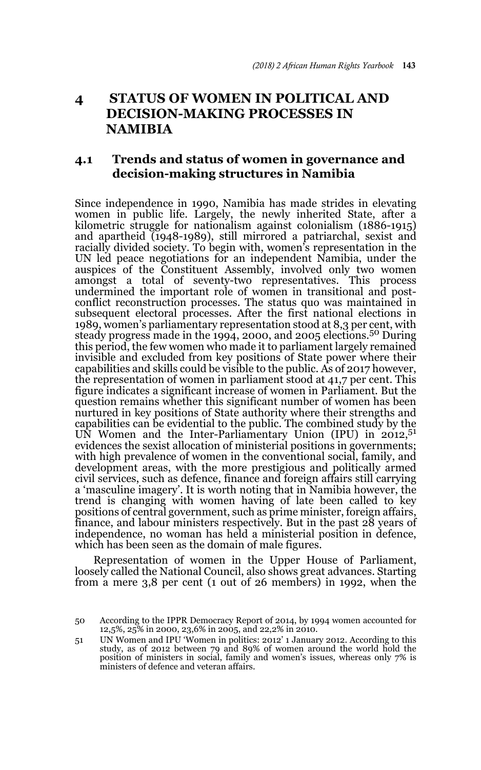# **4 STATUS OF WOMEN IN POLITICAL AND DECISION-MAKING PROCESSES IN NAMIBIA**

### **4.1 Trends and status of women in governance and decision-making structures in Namibia**

Since independence in 1990, Namibia has made strides in elevating women in public life. Largely, the newly inherited State, after a kilometric struggle for nationalism against colonialism (1886-1915) and apartheid (1948-1989), still mirrored a patriarchal, sexist and racially divided society. To begin with, women's representation in the UN led peace negotiations for an independent Namibia, under the auspices of the Constituent Assembly, involved only two women amongst a total of seventy-two representatives. This process undermined the important role of women in transitional and postconflict reconstruction processes. The status quo was maintained in subsequent electoral processes. After the first national elections in 1989, women's parliamentary representation stood at 8,3 per cent, with steady progress made in the 1994, 2000, and 2005 elections.50 During this period, the few women who made it to parliament largely remained invisible and excluded from key positions of State power where their capabilities and skills could be visible to the public. As of 2017 however, the representation of women in parliament stood at 41,7 per cent. This figure indicates a significant increase of women in Parliament. But the question remains whether this significant number of women has been nurtured in key positions of State authority where their strengths and capabilities can be evidential to the public. The combined study by the UN Women and the Inter-Parliamentary Union  $(IPU)$  in 2012,<sup>51</sup> evidences the sexist allocation of ministerial positions in governments; with high prevalence of women in the conventional social, family, and development areas, with the more prestigious and politically armed civil services, such as defence, finance and foreign affairs still carrying a 'masculine imagery'. It is worth noting that in Namibia however, the trend is changing with women having of late been called to key positions of central government, such as prime minister, foreign affairs, finance, and labour ministers respectively. But in the past 28 years of independence, no woman has held a ministerial position in defence, which has been seen as the domain of male figures.

Representation of women in the Upper House of Parliament, loosely called the National Council, also shows great advances. Starting from a mere 3,8 per cent (1 out of 26 members) in 1992, when the

<sup>50</sup> According to the IPPR Democracy Report of 2014, by 1994 women accounted for 12,5%, 25% in 2000, 23,6% in 2005, and 22,2% in 2010.

<sup>51</sup> UN Women and IPU 'Women in politics: 2012' 1 January 2012. According to this study, as of 2012 between 79 and 89% of women around the world hold the position of ministers in social, family and women's issues, whereas only 7% is ministers of defence and veteran affairs.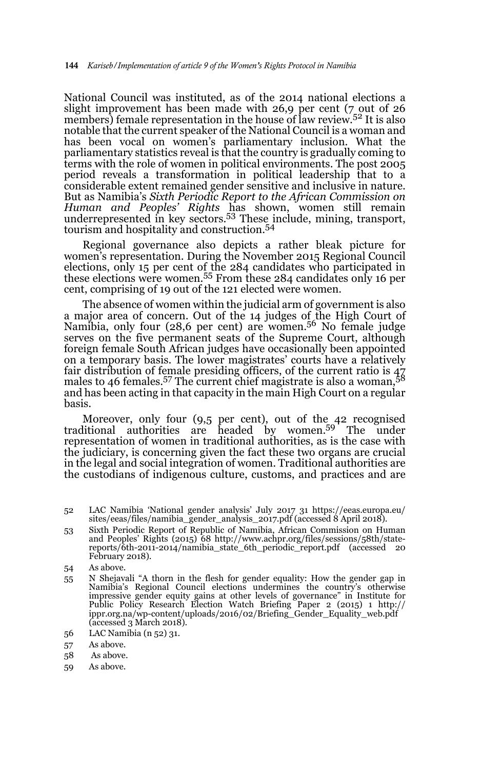National Council was instituted, as of the 2014 national elections a slight improvement has been made with 26,9 per cent (7 out of 26 members) female representation in the house of law review.<sup>52</sup> It is also notable that the current speaker of the National Council is a woman and has been vocal on women's parliamentary inclusion. What the parliamentary statistics reveal is that the country is gradually coming to terms with the role of women in political environments. The post 2005 period reveals a transformation in political leadership that to a considerable extent remained gender sensitive and inclusive in nature. But as Namibia's *Sixth Periodic Report to the African Commission on Human and Peoples' Rights* has shown, women still remain underrepresented in key sectors.53 These include, mining, transport, tourism and hospitality and construction.<sup>54</sup>

Regional governance also depicts a rather bleak picture for women's representation. During the November 2015 Regional Council elections, only 15 per cent of the 284 candidates who participated in these elections were women.55 From these 284 candidates only 16 per cent, comprising of 19 out of the 121 elected were women.

The absence of women within the judicial arm of government is also a major area of concern. Out of the 14 judges of the High Court of Namibia, only four (28,6 per cent) are women.56 No female judge serves on the five permanent seats of the Supreme Court, although foreign female South African judges have occasionally been appointed on a temporary basis. The lower magistrates' courts have a relatively fair distribution of female presiding officers, of the current ratio is 47 males to 46 females.57 The current chief magistrate is also a woman,58 and has been acting in that capacity in the main High Court on a regular basis.

Moreover, only four (9,5 per cent), out of the 42 recognised traditional authorities are headed by women.59 The under representation of women in traditional authorities, as is the case with the judiciary, is concerning given the fact these two organs are crucial in the legal and social integration of women. Traditional authorities are the custodians of indigenous culture, customs, and practices and are

53 Sixth Periodic Report of Republic of Namibia, African Commission on Human and Peoples' Rights (2015) 68 http://www.achpr.org/files/sessions/58th/statereports/6th-2011-2014/namibia\_state\_6th\_periodic\_report.pdf (accessed 20 February 2018).

- 55 N Shejavali "A thorn in the flesh for gender equality: How the gender gap in Namibia's Regional Council elections undermines the country's otherwise impressive gender equity gains at other levels of governance" in Institute for Public Policy Research Election Watch Briefing Paper 2 (2015) 1 http:// ippr.org.na/wp-content/uploads/2016/02/Briefing\_Gender\_Equality\_web.pdf (accessed 3 March 2018).
- 56 LAC Namibia (n 52) 31.
- 57 As above.
- 58 As above.
- 59 As above.

<sup>52</sup> LAC Namibia 'National gender analysis' July 2017 31 https://eeas.europa.eu/ sites/eeas/files/namibia\_gender\_analysis\_2017.pdf (accessed 8 April 2018).

<sup>54</sup> As above.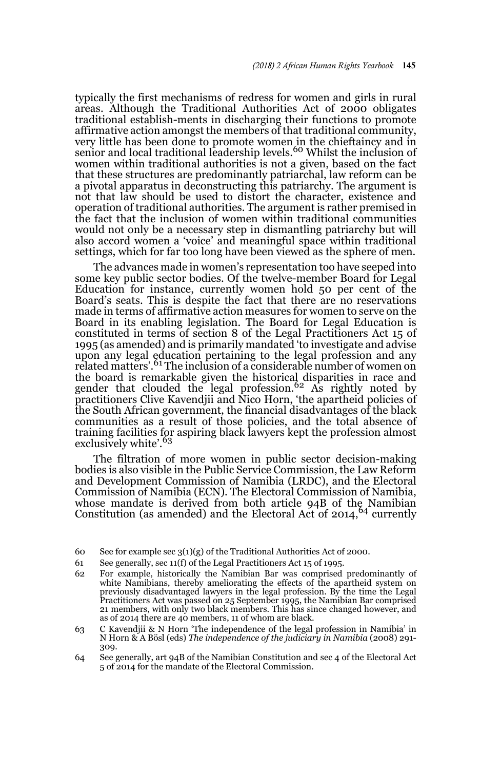typically the first mechanisms of redress for women and girls in rural areas. Although the Traditional Authorities Act of 2000 obligates traditional establish-ments in discharging their functions to promote affirmative action amongst the members of that traditional community, very little has been done to promote women in the chieftaincy and in<br>senior and local traditional leadership levels.<sup>60</sup> Whilst the inclusion of women within traditional authorities is not a given, based on the fact that these structures are predominantly patriarchal, law reform can be a pivotal apparatus in deconstructing this patriarchy. The argument is not that law should be used to distort the character, existence and operation of traditional authorities. The argument is rather premised in the fact that the inclusion of women within traditional communities would not only be a necessary step in dismantling patriarchy but will also accord women a 'voice' and meaningful space within traditional settings, which for far too long have been viewed as the sphere of men.

The advances made in women's representation too have seeped into some key public sector bodies. Of the twelve-member Board for Legal Education for instance, currently women hold 50 per cent of the Board's seats. This is despite the fact that there are no reservations made in terms of affirmative action measures for women to serve on the Board in its enabling legislation. The Board for Legal Education is constituted in terms of section 8 of the Legal Practitioners Act 15 of 1995 (as amended) and is primarily mandated 'to investigate and advise upon any legal education pertaining to the legal profession and any<br>related matters'.<sup>61</sup> The inclusion of a considerable number of women on the board is remarkable given the historical disparities in race and<br>gender that clouded the legal profession.<sup>62</sup> As rightly noted by practitioners Clive Kavendjii and Nico Horn, 'the apartheid policies of the South African government, the financial disadvantages of the black communities as a result of those policies, and the total absence of training facilities for aspiring black lawyers kept the profession almost exclusively white'.<sup>63</sup>

The filtration of more women in public sector decision-making bodies is also visible in the Public Service Commission, the Law Reform and Development Commission of Namibia (LRDC), and the Electoral Commission of Namibia (ECN). The Electoral Commission of Namibia, whose mandate is derived from both article 94B of the Namibian Constitution (as amended) and the Electoral Act of  $2014,^{64}$  currently

<sup>60</sup> See for example sec 3(1)(g) of the Traditional Authorities Act of 2000.

<sup>61</sup> See generally, sec 11(f) of the Legal Practitioners Act 15 of 1995.

<sup>62</sup> For example, historically the Namibian Bar was comprised predominantly of white Namibians, thereby ameliorating the effects of the apartheid system on previously disadvantaged lawyers in the legal profession. By the time the Legal Practitioners Act was passed on 25 September 1995, the Namibian Bar comprised 21 members, with only two black members. This has since changed however, and as of 2014 there are 40 members, 11 of whom are black.

<sup>63</sup> C Kavendjii & N Horn 'The independence of the legal profession in Namibia' in N Horn & A Bösl (eds) *The independence of the judiciary in Namibia* (2008) 291- 309.

<sup>64</sup> See generally, art 94B of the Namibian Constitution and sec 4 of the Electoral Act 5 of 2014 for the mandate of the Electoral Commission.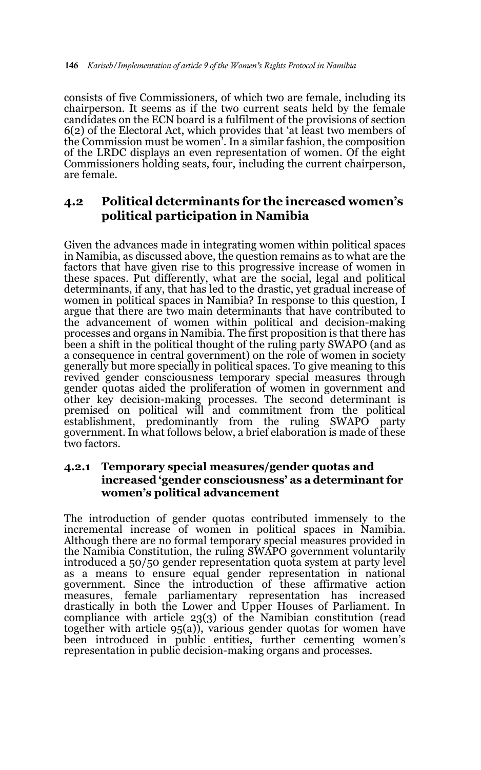consists of five Commissioners, of which two are female, including its chairperson. It seems as if the two current seats held by the female candidates on the ECN board is a fulfilment of the provisions of section 6(2) of the Electoral Act, which provides that 'at least two members of the Commission must be women'. In a similar fashion, the composition of the LRDC displays an even representation of women. Of the eight Commissioners holding seats, four, including the current chairperson, are female.

## **4.2 Political determinants for the increased women's political participation in Namibia**

Given the advances made in integrating women within political spaces in Namibia, as discussed above, the question remains as to what are the factors that have given rise to this progressive increase of women in these spaces. Put differently, what are the social, legal and political determinants, if any, that has led to the drastic, yet gradual increase of women in political spaces in Namibia? In response to this question, I argue that there are two main determinants that have contributed to the advancement of women within political and decision-making processes and organs in Namibia. The first proposition is that there has been a shift in the political thought of the ruling party SWAPO (and as a consequence in central government) on the role of women in society generally but more specially in political spaces. To give meaning to this revived gender consciousness temporary special measures through gender quotas aided the proliferation of women in government and other key decision-making processes. The second determinant is premised on political will and commitment from the political establishment, predominantly from the ruling SWAPO party government. In what follows below, a brief elaboration is made of these two factors.

#### **4.2.1 Temporary special measures/gender quotas and increased 'gender consciousness' as a determinant for women's political advancement**

The introduction of gender quotas contributed immensely to the incremental increase of women in political spaces in Namibia. Although there are no formal temporary special measures provided in the Namibia Constitution, the ruling SWAPO government voluntarily introduced a 50/50 gender representation quota system at party level as a means to ensure equal gender representation in national government. Since the introduction of these affirmative action measures, female parliamentary representation has increased drastically in both the Lower and Upper Houses of Parliament. In compliance with article 23(3) of the Namibian constitution (read together with article 95(a)), various gender quotas for women have been introduced in public entities, further cementing women's representation in public decision-making organs and processes.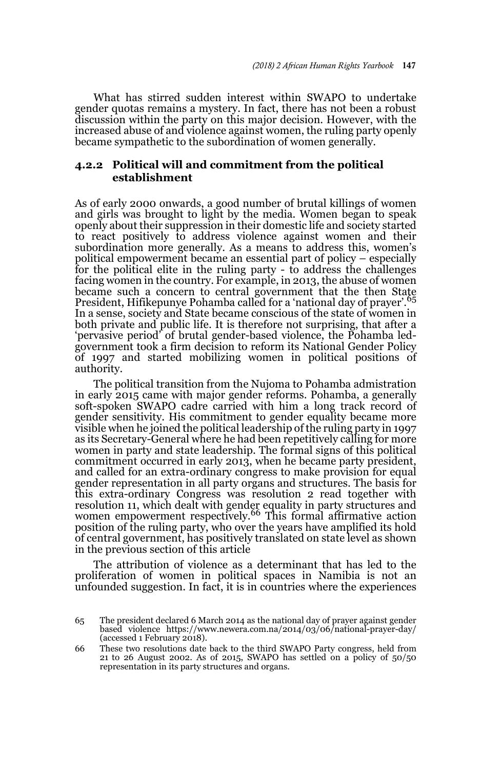What has stirred sudden interest within SWAPO to undertake gender quotas remains a mystery. In fact, there has not been a robust discussion within the party on this major decision. However, with the increased abuse of and violence against women, the ruling party openly became sympathetic to the subordination of women generally.

#### **4.2.2 Political will and commitment from the political establishment**

As of early 2000 onwards, a good number of brutal killings of women and girls was brought to light by the media. Women began to speak openly about their suppression in their domestic life and society started to react positively to address violence against women and their subordination more generally. As a means to address this, women's political empowerment became an essential part of policy – especially for the political elite in the ruling party - to address the challenges facing women in the country. For example, in 2013, the abuse of women became such a concern to central government that the then State President, Hifikepunye Pohamba called for a 'national day of prayer'.<sup>65</sup> In a sense, society and State became conscious of the state of women in both private and public life. It is therefore not surprising, that after a 'pervasive period' of brutal gender-based violence, the Pohamba ledgovernment took a firm decision to reform its National Gender Policy of 1997 and started mobilizing women in political positions of authority.

The political transition from the Nujoma to Pohamba admistration in early 2015 came with major gender reforms. Pohamba, a generally soft-spoken SWAPO cadre carried with him a long track record of gender sensitivity. His commitment to gender equality became more visible when he joined the political leadership of the ruling party in 1997 as its Secretary-General where he had been repetitively calling for more women in party and state leadership. The formal signs of this political commitment occurred in early 2013, when he became party president, and called for an extra-ordinary congress to make provision for equal gender representation in all party organs and structures. The basis for this extra-ordinary Congress was resolution 2 read together with resolution 11, which dealt with gender equality in party structures and<br>women empowerment respectively.<sup>66</sup> This formal affirmative action position of the ruling party, who over the years have amplified its hold of central government, has positively translated on state level as shown in the previous section of this article

The attribution of violence as a determinant that has led to the proliferation of women in political spaces in Namibia is not an unfounded suggestion. In fact, it is in countries where the experiences

<sup>65</sup> The president declared 6 March 2014 as the national day of prayer against gender based violence https://www.newera.com.na/2014/03/06/national-prayer-day/ (accessed 1 February 2018).

<sup>66</sup> These two resolutions date back to the third SWAPO Party congress, held from <sup>21</sup> to 26 August 2002. As of 2015, SWAPO has settled on a policy of 50/50 representation in its party structures and organs.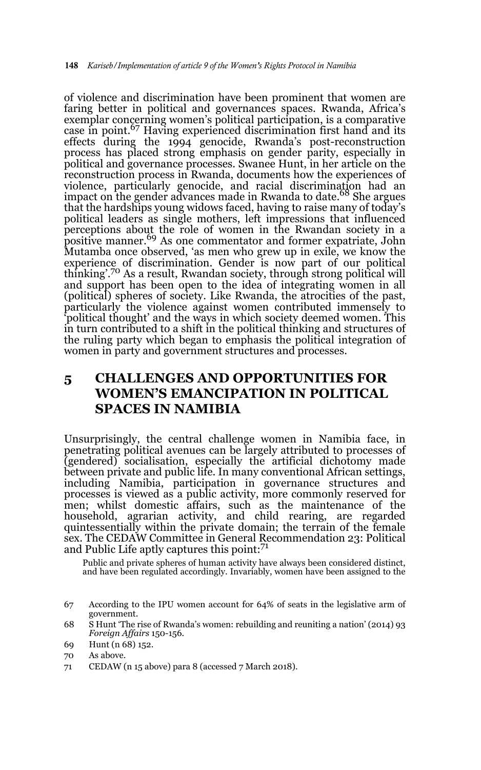of violence and discrimination have been prominent that women are faring better in political and governances spaces. Rwanda, Africa's exemplar concerning women's political participation, is a comparative case in point.<sup>67</sup> Having experienced discrimination first hand and its effects during the 1994 genocide, Rwanda's post-reconstruction process has placed strong emphasis on gender parity, especially in political and governance processes. Swanee Hunt, in her article on the reconstruction process in Rwanda, documents how the experiences of violence, particularly genocide, and racial discrimination had an impact on the gender advances made in Rwanda to date.<sup>68</sup> She argues that the hardships young widows faced, having to raise many of today's political leaders as single mothers, left impressions that influenced perceptions about the role of women in the Rwandan society in a positive manner.<sup>69</sup> As one commentator and former expatriate, John Mutamba once observed, 'as men who grew up in exile, we know the experience of discrimination. Gender is now part of our political thinking'.70 As a result, Rwandan society, through strong political will and support has been open to the idea of integrating women in all (political) spheres of society. Like Rwanda, the atrocities of the past, particularly the violence against women contributed immensely to 'political thought' and the ways in which society deemed women. This in turn contributed to a shift in the political thinking and structures of the ruling party which began to emphasis the political integration of women in party and government structures and processes.

## **5 CHALLENGES AND OPPORTUNITIES FOR WOMEN'S EMANCIPATION IN POLITICAL SPACES IN NAMIBIA**

Unsurprisingly, the central challenge women in Namibia face, in penetrating political avenues can be largely attributed to processes of (gendered) socialisation, especially the artificial dichotomy made between private and public life. In many conventional African settings, including Namibia, participation in governance structures and processes is viewed as a public activity, more commonly reserved for men; whilst domestic affairs, such as the maintenance of the household, agrarian activity, and child rearing, are regarded quintessentially within the private domain; the terrain of the female sex. The CEDAW Committee in General Recommendation 23: Political and Public Life aptly captures this point:<sup>71</sup>

Public and private spheres of human activity have always been considered distinct, and have been regulated accordingly. Invariably, women have been assigned to the

69 Hunt (n 68) 152.

71 CEDAW (n 15 above) para 8 (accessed 7 March 2018).

<sup>67</sup> According to the IPU women account for 64% of seats in the legislative arm of government.

<sup>68</sup> S Hunt 'The rise of Rwanda's women: rebuilding and reuniting a nation' (2014) 93 *Foreign Affairs* 150-156.

<sup>70</sup> As above.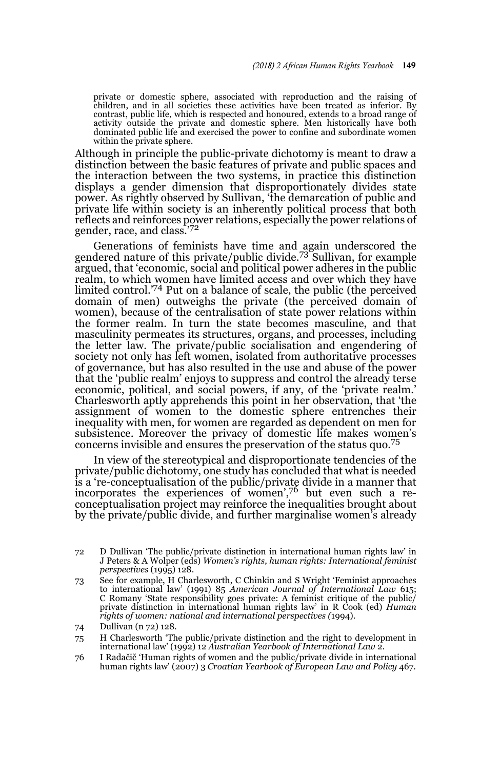private or domestic sphere, associated with reproduction and the raising of children, and in all societies these activities have been treated as inferior. By contrast, public life, which is respected and honoured, extends to a broad range of activity outside the private and domestic sphere. Men historically have both dominated public life and exercised the power to confine and subordinate women within the private sphere.

Although in principle the public-private dichotomy is meant to draw a distinction between the basic features of private and public spaces and the interaction between the two systems, in practice this distinction displays a gender dimension that disproportionately divides state power. As rightly observed by Sullivan, 'the demarcation of public and private life within society is an inherently political process that both reflects and reinforces power relations, especially the power relations of<br>gender, race, and class.'<sup>72</sup>

Generations of feminists have time and again underscored the gendered nature of this private/public divide.73 Sullivan, for example argued, that 'economic, social and political power adheres in the public realm, to which women have limited access and over which they have limited control.'74 Put on a balance of scale, the public (the perceived domain of men) outweighs the private (the perceived domain of women), because of the centralisation of state power relations within the former realm. In turn the state becomes masculine, and that masculinity permeates its structures, organs, and processes, including the letter law. The private/public socialisation and engendering of society not only has left women, isolated from authoritative processes of governance, but has also resulted in the use and abuse of the power that the 'public realm' enjoys to suppress and control the already terse economic, political, and social powers, if any, of the 'private realm.' Charlesworth aptly apprehends this point in her observation, that 'the assignment of women to the domestic sphere entrenches their inequality with men, for women are regarded as dependent on men for subsistence. Moreover the privacy of domestic life makes women's concerns invisible and ensures the preservation of the status quo.<sup>75</sup>

In view of the stereotypical and disproportionate tendencies of the private/public dichotomy, one study has concluded that what is needed is a 're-conceptualisation of the public/private divide in a manner that incorporates the experiences of women',76 but even such a reconceptualisation project may reinforce the inequalities brought about by the private/public divide, and further marginalise women's already

<sup>72</sup> D Dullivan 'The public/private distinction in international human rights law' in J Peters & A Wolper (eds) *Women's rights, human rights: International feminist perspectives* (1995) 128.

<sup>73</sup> See for example, H Charlesworth, C Chinkin and S Wright 'Feminist approaches to international law' (1991) 85 *American Journal of International Law* 615; C Romany 'State responsibility goes private: A feminist critique of the public/ private distinction in international human rights law' in R Cook (ed) *Human rights of women: national and international perspectives (*1994).

<sup>74</sup> Dullivan (n 72) 128.

<sup>75</sup> H Charlesworth 'The public/private distinction and the right to development in international law' (1992) 12 *Australian Yearbook of International Law* 2.

<sup>76</sup> I Radačič 'Human rights of women and the public/private divide in international human rights law' (2007) 3 *Croatian Yearbook of European Law and Policy* 467.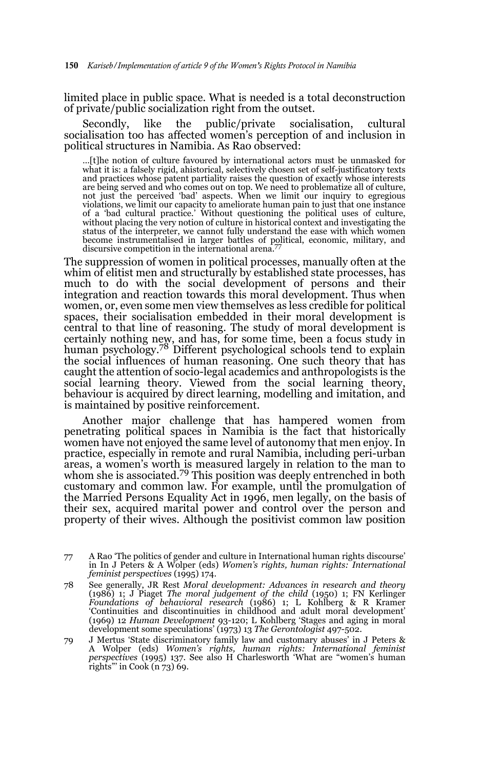limited place in public space. What is needed is a total deconstruction of private/public socialization right from the outset.

Secondly, like the public/private socialisation, cultural socialisation too has affected women's perception of and inclusion in political structures in Namibia. As Rao observed:

…[t]he notion of culture favoured by international actors must be unmasked for what it is: a falsely rigid, ahistorical, selectively chosen set of self-justificatory texts and practices whose patent partiality raises the question of exactly whose interests are being served and who comes out on top. We need to problematize all of culture, not just the perceived 'bad' aspects. When we limit our inquiry to egregious violations, we limit our capacity to ameliorate human pain to just that one instance of a 'bad cultural practice.' Without questioning the political uses of culture, without placing the very notion of culture in historical context and investigating the status of the interpreter, we cannot fully understand the ease with which women become instrumentalised in larger battles of political, economic, military, and discursive competition in the international arena.<sup>77</sup>

The suppression of women in political processes, manually often at the whim of elitist men and structurally by established state processes, has much to do with the social development of persons and their integration and reaction towards this moral development. Thus when women, or, even some men view themselves as less credible for political spaces, their socialisation embedded in their moral development is central to that line of reasoning. The study of moral development is certainly nothing new, and has, for some time, been a focus study in human psychology.78 Different psychological schools tend to explain the social influences of human reasoning. One such theory that has caught the attention of socio-legal academics and anthropologists is the social learning theory. Viewed from the social learning theory, behaviour is acquired by direct learning, modelling and imitation, and is maintained by positive reinforcement.

Another major challenge that has hampered women from penetrating political spaces in Namibia is the fact that historically women have not enjoyed the same level of autonomy that men enjoy. In practice, especially in remote and rural Namibia, including peri-urban areas, a women's worth is measured largely in relation to the man to whom she is associated.<sup>79</sup> This position was deeply entrenched in both customary and common law. For example, until the promulgation of the Married Persons Equality Act in 1996, men legally, on the basis of their sex, acquired marital power and control over the person and property of their wives. Although the positivist common law position

79 J Mertus 'State discriminatory family law and customary abuses' in J Peters & A Wolper (eds) *Women's rights, human rights: International feminist perspectives* (1995) 137. See also H Charlesworth 'What are "women's human rights"' in Cook (n 73) 69.

<sup>77</sup> A Rao 'The politics of gender and culture in International human rights discourse' in In J Peters & A Wolper (eds) *Women's rights, human rights: International feminist perspectives* (1995) 174.

<sup>78</sup> See generally, JR Rest *Moral development: Advances in research and theory* (1986) 1; J Piaget *The moral judgement of the child* (1950) 1; FN Kerlinger *Foundations of behavioral research* (1986) 1; L Kohlberg & R Kramer 'Continuities and discontinuities in childhood and adult moral development' (1969) 12 *Human Development* 93-120; L Kohlberg 'Stages and aging in moral development some speculations' (1973) 13 *The Gerontologist* 497-502.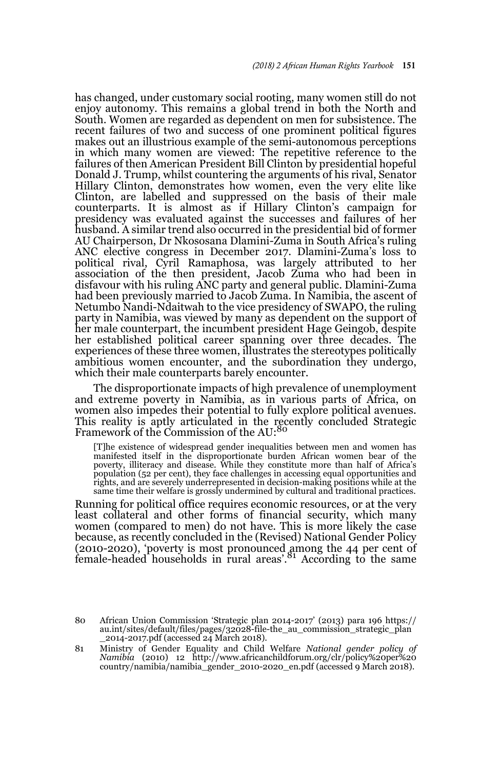has changed, under customary social rooting, many women still do not enjoy autonomy. This remains a global trend in both the North and South. Women are regarded as dependent on men for subsistence. The recent failures of two and success of one prominent political figures makes out an illustrious example of the semi-autonomous perceptions in which many women are viewed: The repetitive reference to the failures of then American President Bill Clinton by presidential hopeful Donald J. Trump, whilst countering the arguments of his rival, Senator Hillary Clinton, demonstrates how women, even the very elite like Clinton, are labelled and suppressed on the basis of their male counterparts. It is almost as if Hillary Clinton's campaign for presidency was evaluated against the successes and failures of her husband. A similar trend also occurred in the presidential bid of former AU Chairperson, Dr Nkososana Dlamini-Zuma in South Africa's ruling ANC elective congress in December 2017. Dlamini-Zuma's loss to political rival, Cyril Ramaphosa, was largely attributed to her association of the then president, Jacob Zuma who had been in disfavour with his ruling ANC party and general public. Dlamini-Zuma had been previously married to Jacob Zuma. In Namibia, the ascent of Netumbo Nandi-Ndaitwah to the vice presidency of SWAPO, the ruling party in Namibia, was viewed by many as dependent on the support of her male counterpart, the incumbent president Hage Geingob, despite her established political career spanning over three decades. The experiences of these three women, illustrates the stereotypes politically ambitious women encounter, and the subordination they undergo, which their male counterparts barely encounter.

The disproportionate impacts of high prevalence of unemployment and extreme poverty in Namibia, as in various parts of Africa, on women also impedes their potential to fully explore political avenues. This reality is aptly articulated in the recently concluded Strategic<br>Framework of the Commission of the AU:<sup>80</sup>

[T]he existence of widespread gender inequalities between men and women has manifested itself in the disproportionate burden African women bear of the poverty, illiteracy and disease. While they constitute more than half of Africa's population (52 per cent), they face challenges in accessing equal opportunities and rights, and are severely underrepresented in decision-making positions while at the same time their welfare is grossly undermined by cultural and traditional practices.

Running for political office requires economic resources, or at the very least collateral and other forms of financial security, which many women (compared to men) do not have. This is more likely the case because, as recently concluded in the (Revised) National Gender Policy (2010-2020), 'poverty is most pronounced among the 44 per cent of female-headed households in rural areas'.<sup>81</sup> According to the same

<sup>80</sup> African Union Commission 'Strategic plan 2014-2017' (2013) para 196 https:// au.int/sites/default/files/pages/32028-file-the\_au\_commission\_strategic\_plan \_2014-2017.pdf (accessed 24 March 2018).

<sup>81</sup> Ministry of Gender Equality and Child Welfare *National gender policy of Namibia* (2010) 12 http://www.africanchildforum.org/clr/policy%20per%20 country/namibia/namibia\_gender\_2010-2020\_en.pdf (accessed 9 March 2018).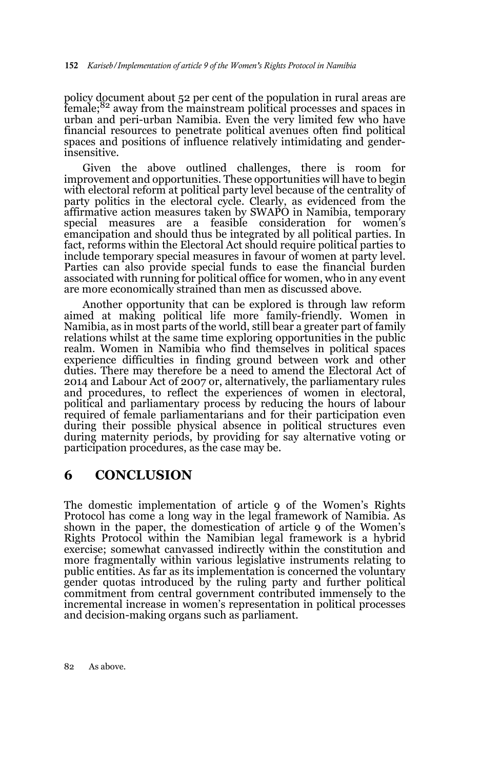policy document about 52 per cent of the population in rural areas are female;<sup>82</sup> away from the mainstream political processes and spaces in urban and peri-urban Namibia. Even the very limited few who have financial resources to penetrate political avenues often find political spaces and positions of influence relatively intimidating and genderinsensitive.

Given the above outlined challenges, there is room for improvement and opportunities. These opportunities will have to begin with electoral reform at political party level because of the centrality of party politics in the electoral cycle. Clearly, as evidenced from the affirmative action measures taken by SWAPO in Namibia, temporary special measures are a feasible consideration for women's emancipation and should thus be integrated by all political parties. In fact, reforms within the Electoral Act should require political parties to include temporary special measures in favour of women at party level. Parties can also provide special funds to ease the financial burden associated with running for political office for women, who in any event are more economically strained than men as discussed above.

Another opportunity that can be explored is through law reform aimed at making political life more family-friendly. Women in Namibia, as in most parts of the world, still bear a greater part of family relations whilst at the same time exploring opportunities in the public realm. Women in Namibia who find themselves in political spaces experience difficulties in finding ground between work and other duties. There may therefore be a need to amend the Electoral Act of 2014 and Labour Act of 2007 or, alternatively, the parliamentary rules and procedures, to reflect the experiences of women in electoral, political and parliamentary process by reducing the hours of labour required of female parliamentarians and for their participation even during their possible physical absence in political structures even during maternity periods, by providing for say alternative voting or participation procedures, as the case may be.

## **6 CONCLUSION**

The domestic implementation of article 9 of the Women's Rights Protocol has come a long way in the legal framework of Namibia. As shown in the paper, the domestication of article 9 of the Women's Rights Protocol within the Namibian legal framework is a hybrid exercise; somewhat canvassed indirectly within the constitution and more fragmentally within various legislative instruments relating to public entities. As far as its implementation is concerned the voluntary gender quotas introduced by the ruling party and further political commitment from central government contributed immensely to the incremental increase in women's representation in political processes and decision-making organs such as parliament.